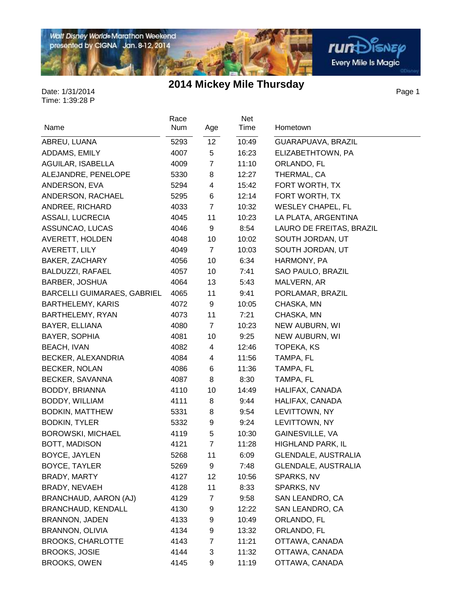Walt Disney World® Marathon Weekend<br>presented by CIGNA Jan. 8-12, 2014

## **2014 Mickey Mile Thursday**

庙

Page 1

**rum**Disnep

Every Mile Is Magic

| Name                               | Race<br>Num | Age             | Net<br>Time | Hometown                   |
|------------------------------------|-------------|-----------------|-------------|----------------------------|
|                                    |             |                 |             |                            |
| ABREU, LUANA                       | 5293        | 12 <sub>2</sub> | 10:49       | GUARAPUAVA, BRAZIL         |
| ADDAMS, EMILY                      | 4007        | 5               | 16:23       | ELIZABETHTOWN, PA          |
| AGUILAR, ISABELLA                  | 4009        | $\overline{7}$  | 11:10       | ORLANDO, FL                |
| ALEJANDRE, PENELOPE                | 5330        | 8               | 12:27       | THERMAL, CA                |
| ANDERSON, EVA                      | 5294        | 4               | 15:42       | FORT WORTH, TX             |
| ANDERSON, RACHAEL                  | 5295        | 6               | 12:14       | FORT WORTH, TX             |
| ANDREE, RICHARD                    | 4033        | 7               | 10:32       | <b>WESLEY CHAPEL, FL</b>   |
| ASSALI, LUCRECIA                   | 4045        | 11              | 10:23       | LA PLATA, ARGENTINA        |
| ASSUNCAO, LUCAS                    | 4046        | 9               | 8:54        | LAURO DE FREITAS, BRAZIL   |
| AVERETT, HOLDEN                    | 4048        | 10              | 10:02       | SOUTH JORDAN, UT           |
| AVERETT, LILY                      | 4049        | $\overline{7}$  | 10:03       | SOUTH JORDAN, UT           |
| BAKER, ZACHARY                     | 4056        | 10              | 6:34        | HARMONY, PA                |
| BALDUZZI, RAFAEL                   | 4057        | 10              | 7:41        | SAO PAULO, BRAZIL          |
| <b>BARBER, JOSHUA</b>              | 4064        | 13              | 5:43        | MALVERN, AR                |
| <b>BARCELLI GUIMARAES, GABRIEL</b> | 4065        | 11              | 9:41        | PORLAMAR, BRAZIL           |
| <b>BARTHELEMY, KARIS</b>           | 4072        | 9               | 10:05       | CHASKA, MN                 |
| BARTHELEMY, RYAN                   | 4073        | 11              | 7:21        | CHASKA, MN                 |
| BAYER, ELLIANA                     | 4080        | 7               | 10:23       | NEW AUBURN, WI             |
| BAYER, SOPHIA                      | 4081        | 10              | 9:25        | NEW AUBURN, WI             |
| <b>BEACH, IVAN</b>                 | 4082        | 4               | 12:46       | TOPEKA, KS                 |
| BECKER, ALEXANDRIA                 | 4084        | 4               | 11:56       | TAMPA, FL                  |
| <b>BECKER, NOLAN</b>               | 4086        | 6               | 11:36       | TAMPA, FL                  |
| BECKER, SAVANNA                    | 4087        | 8               | 8:30        | TAMPA, FL                  |
| BODDY, BRIANNA                     | 4110        | 10              | 14:49       | HALIFAX, CANADA            |
| BODDY, WILLIAM                     | 4111        | 8               | 9:44        | HALIFAX, CANADA            |
| <b>BODKIN, MATTHEW</b>             | 5331        | 8               | 9:54        | LEVITTOWN, NY              |
| <b>BODKIN, TYLER</b>               | 5332        | 9               | 9:24        | LEVITTOWN, NY              |
| <b>BOROWSKI, MICHAEL</b>           | 4119        | 5               | 10:30       | GAINESVILLE, VA            |
| BOTT, MADISON                      | 4121        | $\overline{7}$  | 11:28       | HIGHLAND PARK, IL          |
| BOYCE, JAYLEN                      | 5268        | 11              | 6:09        | GLENDALE, AUSTRALIA        |
| <b>BOYCE, TAYLER</b>               | 5269        | 9               | 7:48        | <b>GLENDALE, AUSTRALIA</b> |
| BRADY, MARTY                       | 4127        | 12              | 10:56       | SPARKS, NV                 |
| BRADY, NEVAEH                      | 4128        | 11              | 8:33        | SPARKS, NV                 |
| BRANCHAUD, AARON (AJ)              | 4129        | 7               | 9:58        | SAN LEANDRO, CA            |
| BRANCHAUD, KENDALL                 | 4130        | 9               | 12:22       | SAN LEANDRO, CA            |
| <b>BRANNON, JADEN</b>              | 4133        | 9               | 10:49       | ORLANDO, FL                |
| BRANNON, OLIVIA                    | 4134        | 9               | 13:32       | ORLANDO, FL                |
| <b>BROOKS, CHARLOTTE</b>           | 4143        | 7               | 11:21       | OTTAWA, CANADA             |
| <b>BROOKS, JOSIE</b>               | 4144        | 3               | 11:32       | OTTAWA, CANADA             |
| <b>BROOKS, OWEN</b>                | 4145        | 9               | 11:19       | OTTAWA, CANADA             |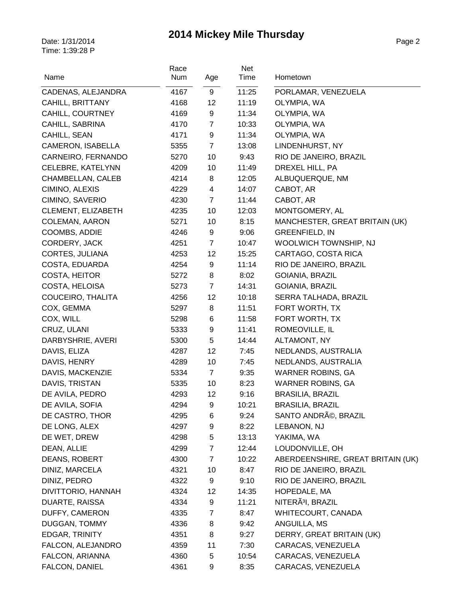| Name                                   | Race<br>Num  | Age            | Net<br>Time    | Hometown                           |
|----------------------------------------|--------------|----------------|----------------|------------------------------------|
|                                        |              | 9              |                |                                    |
| CADENAS, ALEJANDRA<br>CAHILL, BRITTANY | 4167<br>4168 | 12             | 11:25<br>11:19 | PORLAMAR, VENEZUELA<br>OLYMPIA, WA |
| CAHILL, COURTNEY                       | 4169         | 9              | 11:34          | OLYMPIA, WA                        |
| CAHILL, SABRINA                        | 4170         | 7              | 10:33          | OLYMPIA, WA                        |
| CAHILL, SEAN                           | 4171         | 9              | 11:34          | OLYMPIA, WA                        |
| CAMERON, ISABELLA                      | 5355         | $\overline{7}$ | 13:08          | LINDENHURST, NY                    |
| CARNEIRO, FERNANDO                     | 5270         | 10             | 9:43           | RIO DE JANEIRO, BRAZIL             |
| CELEBRE, KATELYNN                      | 4209         | 10             | 11:49          | DREXEL HILL, PA                    |
| CHAMBELLAN, CALEB                      | 4214         | 8              | 12:05          | ALBUQUERQUE, NM                    |
| CIMINO, ALEXIS                         | 4229         | 4              | 14:07          | CABOT, AR                          |
| CIMINO, SAVERIO                        | 4230         | $\overline{7}$ | 11:44          | CABOT, AR                          |
| CLEMENT, ELIZABETH                     | 4235         | 10             | 12:03          | MONTGOMERY, AL                     |
| COLEMAN, AARON                         | 5271         | 10             | 8:15           | MANCHESTER, GREAT BRITAIN (UK)     |
| COOMBS, ADDIE                          | 4246         | 9              | 9:06           | <b>GREENFIELD, IN</b>              |
| CORDERY, JACK                          | 4251         | $\overline{7}$ | 10:47          | WOOLWICH TOWNSHIP, NJ              |
| CORTES, JULIANA                        | 4253         | 12             | 15:25          | CARTAGO, COSTA RICA                |
| COSTA, EDUARDA                         | 4254         | 9              | 11:14          | RIO DE JANEIRO, BRAZIL             |
| COSTA, HEITOR                          | 5272         | 8              | 8:02           | GOIANIA, BRAZIL                    |
| COSTA, HELOISA                         | 5273         | $\overline{7}$ | 14:31          | GOIANIA, BRAZIL                    |
| COUCEIRO, THALITA                      | 4256         | 12             | 10:18          | SERRA TALHADA, BRAZIL              |
| COX, GEMMA                             | 5297         | 8              | 11:51          | FORT WORTH, TX                     |
| COX, WILL                              | 5298         | 6              | 11:58          | FORT WORTH, TX                     |
| CRUZ, ULANI                            | 5333         | 9              | 11:41          | ROMEOVILLE, IL                     |
| DARBYSHRIE, AVERI                      | 5300         | 5              | 14:44          | ALTAMONT, NY                       |
| DAVIS, ELIZA                           | 4287         | 12             | 7:45           | NEDLANDS, AUSTRALIA                |
| DAVIS, HENRY                           | 4289         | 10             | 7:45           | NEDLANDS, AUSTRALIA                |
| DAVIS, MACKENZIE                       | 5334         | $\overline{7}$ | 9:35           | <b>WARNER ROBINS, GA</b>           |
| DAVIS, TRISTAN                         | 5335         | 10             | 8:23           | <b>WARNER ROBINS, GA</b>           |
| DE AVILA, PEDRO                        | 4293         | 12             | 9:16           | <b>BRASILIA, BRAZIL</b>            |
| DE AVILA, SOFIA                        | 4294         | 9              | 10:21          | <b>BRASILIA, BRAZIL</b>            |
| DE CASTRO, THOR                        | 4295         | 6              | 9:24           | SANTO ANDRé, BRAZIL                |
| DE LONG, ALEX                          | 4297         | 9              | 8:22           | LEBANON, NJ                        |
| DE WET, DREW                           | 4298         | 5              | 13:13          | YAKIMA, WA                         |
| DEAN, ALLIE                            | 4299         | $\overline{7}$ | 12:44          | LOUDONVILLE, OH                    |
| DEANS, ROBERT                          | 4300         | 7              | 10:22          | ABERDEENSHIRE, GREAT BRITAIN (UK)  |
| DINIZ, MARCELA                         | 4321         | 10             | 8:47           | RIO DE JANEIRO, BRAZIL             |
| DINIZ, PEDRO                           | 4322         | 9              | 9:10           | RIO DE JANEIRO, BRAZIL             |
| DIVITTORIO, HANNAH                     | 4324         | 12             | 14:35          | HOPEDALE, MA                       |
| DUARTE, RAISSA                         | 4334         | 9              | 11:21          | NITERÃ <sup>3</sup> I, BRAZIL      |
| DUFFY, CAMERON                         | 4335         | 7              | 8:47           | WHITECOURT, CANADA                 |
| DUGGAN, TOMMY                          | 4336         | 8              | 9:42           | ANGUILLA, MS                       |
| EDGAR, TRINITY                         | 4351         | 8              | 9:27           | DERRY, GREAT BRITAIN (UK)          |
| FALCON, ALEJANDRO                      | 4359         | 11             | 7:30           | CARACAS, VENEZUELA                 |
| FALCON, ARIANNA                        | 4360         | 5              | 10:54          | CARACAS, VENEZUELA                 |
| FALCON, DANIEL                         | 4361         | 9              | 8:35           | CARACAS, VENEZUELA                 |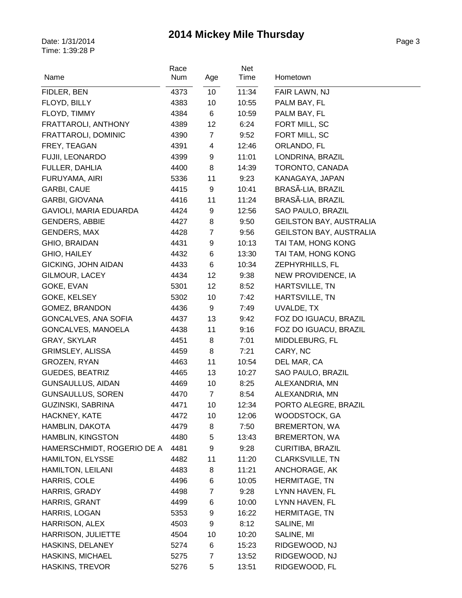| Name                       | Race<br>Num | Age                     | Net<br>Time | Hometown                       |
|----------------------------|-------------|-------------------------|-------------|--------------------------------|
| FIDLER, BEN                | 4373        | 10                      | 11:34       | FAIR LAWN, NJ                  |
| FLOYD, BILLY               | 4383        | 10                      | 10:55       | PALM BAY, FL                   |
| FLOYD, TIMMY               | 4384        | 6                       | 10:59       | PALM BAY, FL                   |
| FRATTAROLI, ANTHONY        | 4389        | 12                      | 6:24        | FORT MILL, SC                  |
| FRATTAROLI, DOMINIC        | 4390        | $\overline{7}$          | 9:52        | FORT MILL, SC                  |
| FREY, TEAGAN               | 4391        | $\overline{\mathbf{4}}$ | 12:46       | ORLANDO, FL                    |
| FUJII, LEONARDO            | 4399        | 9                       | 11:01       | LONDRINA, BRAZIL               |
| FULLER, DAHLIA             | 4400        | 8                       | 14:39       | TORONTO, CANADA                |
| FURUYAMA, AIRI             | 5336        | 11                      | 9:23        | KANAGAYA, JAPAN                |
| <b>GARBI, CAUE</b>         | 4415        | 9                       | 10:41       | BRASÃ-LIA, BRAZIL              |
| <b>GARBI, GIOVANA</b>      | 4416        | 11                      | 11:24       | BRASÃ-LIA, BRAZIL              |
| GAVIOLI, MARIA EDUARDA     | 4424        | 9                       | 12:56       | SAO PAULO, BRAZIL              |
| <b>GENDERS, ABBIE</b>      | 4427        | 8                       | 9:50        | <b>GEILSTON BAY, AUSTRALIA</b> |
| <b>GENDERS, MAX</b>        | 4428        | $\overline{7}$          | 9:56        | <b>GEILSTON BAY, AUSTRALIA</b> |
| GHIO, BRAIDAN              | 4431        | 9                       | 10:13       | TAI TAM, HONG KONG             |
| GHIO, HAILEY               | 4432        | 6                       | 13:30       | TAI TAM, HONG KONG             |
| <b>GICKING, JOHN AIDAN</b> | 4433        | 6                       | 10:34       | ZEPHYRHILLS, FL                |
| GILMOUR, LACEY             | 4434        | 12                      | 9:38        | NEW PROVIDENCE, IA             |
| GOKE, EVAN                 | 5301        | 12                      | 8:52        | HARTSVILLE, TN                 |
| GOKE, KELSEY               | 5302        | 10                      | 7:42        | HARTSVILLE, TN                 |
| GOMEZ, BRANDON             | 4436        | 9                       | 7:49        | UVALDE, TX                     |
| GONCALVES, ANA SOFIA       | 4437        | 13                      | 9:42        | FOZ DO IGUACU, BRAZIL          |
| GONCALVES, MANOELA         | 4438        | 11                      | 9:16        | FOZ DO IGUACU, BRAZIL          |
| GRAY, SKYLAR               | 4451        | 8                       | 7:01        | MIDDLEBURG, FL                 |
| GRIMSLEY, ALISSA           | 4459        | 8                       | 7:21        | CARY, NC                       |
| GROZEN, RYAN               | 4463        | 11                      | 10:54       | DEL MAR, CA                    |
| <b>GUEDES, BEATRIZ</b>     | 4465        | 13                      | 10:27       | SAO PAULO, BRAZIL              |
| <b>GUNSAULLUS, AIDAN</b>   | 4469        | 10                      | 8:25        | ALEXANDRIA, MN                 |
| <b>GUNSAULLUS, SOREN</b>   | 4470        | $\overline{7}$          | 8:54        | ALEXANDRIA, MN                 |
| GUZINSKI, SABRINA          | 4471        | 10                      | 12:34       | PORTO ALEGRE, BRAZIL           |
| HACKNEY, KATE              | 4472        | 10                      | 12:06       | WOODSTOCK, GA                  |
| HAMBLIN, DAKOTA            | 4479        | 8                       | 7:50        | <b>BREMERTON, WA</b>           |
| HAMBLIN, KINGSTON          | 4480        | 5                       | 13:43       | <b>BREMERTON, WA</b>           |
| HAMERSCHMIDT, ROGERIO DE A | 4481        | 9                       | 9:28        | <b>CURITIBA, BRAZIL</b>        |
| HAMILTON, ELYSSE           | 4482        | 11                      | 11:20       | <b>CLARKSVILLE, TN</b>         |
| HAMILTON, LEILANI          | 4483        | 8                       | 11:21       | ANCHORAGE, AK                  |
| HARRIS, COLE               | 4496        | 6                       | 10:05       | <b>HERMITAGE, TN</b>           |
| HARRIS, GRADY              | 4498        | $\overline{7}$          | 9:28        | LYNN HAVEN, FL                 |
| HARRIS, GRANT              | 4499        | 6                       | 10:00       | LYNN HAVEN, FL                 |
| HARRIS, LOGAN              | 5353        | 9                       | 16:22       | HERMITAGE, TN                  |
| HARRISON, ALEX             | 4503        | 9                       | 8:12        | SALINE, MI                     |
| HARRISON, JULIETTE         | 4504        | 10                      | 10:20       | SALINE, MI                     |
| HASKINS, DELANEY           | 5274        | 6                       | 15:23       | RIDGEWOOD, NJ                  |
| <b>HASKINS, MICHAEL</b>    | 5275        | $\overline{7}$          | 13:52       | RIDGEWOOD, NJ                  |
| HASKINS, TREVOR            | 5276        | 5                       | 13:51       | RIDGEWOOD, FL                  |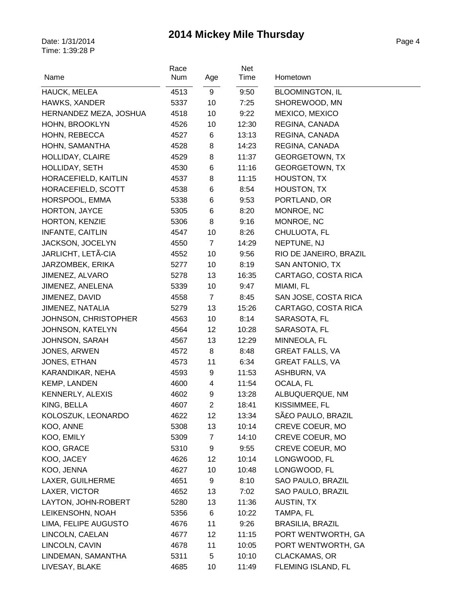| Name                    | Race<br>Num | Age            | <b>Net</b><br>Time | Hometown                |
|-------------------------|-------------|----------------|--------------------|-------------------------|
|                         |             |                |                    |                         |
| <b>HAUCK, MELEA</b>     | 4513        | 9              | 9:50               | <b>BLOOMINGTON, IL</b>  |
| HAWKS, XANDER           | 5337        | 10             | 7:25               | SHOREWOOD, MN           |
| HERNANDEZ MEZA, JOSHUA  | 4518        | 10             | 9:22               | MEXICO, MEXICO          |
| HOHN, BROOKLYN          | 4526        | 10             | 12:30              | REGINA, CANADA          |
| HOHN, REBECCA           | 4527        | 6              | 13:13              | REGINA, CANADA          |
| HOHN, SAMANTHA          | 4528        | 8              | 14:23              | REGINA, CANADA          |
| HOLLIDAY, CLAIRE        | 4529        | 8              | 11:37              | <b>GEORGETOWN, TX</b>   |
| HOLLIDAY, SETH          | 4530        | 6              | 11:16              | <b>GEORGETOWN, TX</b>   |
| HORACEFIELD, KAITLIN    | 4537        | 8              | 11:15              | HOUSTON, TX             |
| HORACEFIELD, SCOTT      | 4538        | 6              | 8:54               | HOUSTON, TX             |
| HORSPOOL, EMMA          | 5338        | 6              | 9:53               | PORTLAND, OR            |
| HORTON, JAYCE           | 5305        | 6              | 8:20               | MONROE, NC              |
| HORTON, KENZIE          | 5306        | 8              | 9:16               | MONROE, NC              |
| INFANTE, CAITLIN        | 4547        | 10             | 8:26               | CHULUOTA, FL            |
| JACKSON, JOCELYN        | 4550        | $\overline{7}$ | 14:29              | NEPTUNE, NJ             |
| JARLICHT, LETÃ-CIA      | 4552        | 10             | 9:56               | RIO DE JANEIRO, BRAZIL  |
| JARZOMBEK, ERIKA        | 5277        | 10             | 8:19               | SAN ANTONIO, TX         |
| JIMENEZ, ALVARO         | 5278        | 13             | 16:35              | CARTAGO, COSTA RICA     |
| JIMENEZ, ANELENA        | 5339        | 10             | 9:47               | MIAMI, FL               |
| JIMENEZ, DAVID          | 4558        | $\overline{7}$ | 8:45               | SAN JOSE, COSTA RICA    |
| JIMENEZ, NATALIA        | 5279        | 13             | 15:26              | CARTAGO, COSTA RICA     |
| JOHNSON, CHRISTOPHER    | 4563        | 10             | 8:14               | SARASOTA, FL            |
| JOHNSON, KATELYN        | 4564        | 12             | 10:28              | SARASOTA, FL            |
| <b>JOHNSON, SARAH</b>   | 4567        | 13             | 12:29              | MINNEOLA, FL            |
| JONES, ARWEN            | 4572        | 8              | 8:48               | <b>GREAT FALLS, VA</b>  |
| JONES, ETHAN            | 4573        | 11             | 6:34               | <b>GREAT FALLS, VA</b>  |
| KARANDIKAR, NEHA        | 4593        | 9              | 11:53              | ASHBURN, VA             |
| <b>KEMP, LANDEN</b>     | 4600        | 4              | 11:54              | OCALA, FL               |
| <b>KENNERLY, ALEXIS</b> | 4602        | 9              | 13:28              | ALBUQUERQUE, NM         |
| KING, BELLA             | 4607        | $\overline{2}$ | 18:41              | KISSIMMEE, FL           |
| KOLOSZUK, LEONARDO      | 4622        | 12             | 13:34              | SãO PAULO, BRAZIL       |
| KOO, ANNE               | 5308        | 13             | 10:14              | CREVE COEUR, MO         |
| KOO, EMILY              | 5309        | $\overline{7}$ | 14:10              | CREVE COEUR, MO         |
| KOO, GRACE              | 5310        | 9              | 9:55               | CREVE COEUR, MO         |
| KOO, JACEY              | 4626        | 12             | 10:14              | LONGWOOD, FL            |
| KOO, JENNA              | 4627        | 10             | 10:48              | LONGWOOD, FL            |
| LAXER, GUILHERME        | 4651        | 9              | 8:10               | SAO PAULO, BRAZIL       |
| LAXER, VICTOR           | 4652        | 13             | 7:02               | SAO PAULO, BRAZIL       |
| LAYTON, JOHN-ROBERT     | 5280        | 13             | 11:36              | <b>AUSTIN, TX</b>       |
| LEIKENSOHN, NOAH        | 5356        | 6              | 10:22              | TAMPA, FL               |
| LIMA, FELIPE AUGUSTO    | 4676        | 11             | 9:26               | <b>BRASILIA, BRAZIL</b> |
| LINCOLN, CAELAN         | 4677        | 12             | 11:15              | PORT WENTWORTH, GA      |
| LINCOLN, CAVIN          | 4678        | 11             | 10:05              | PORT WENTWORTH, GA      |
| LINDEMAN, SAMANTHA      | 5311        | 5              | 10:10              | CLACKAMAS, OR           |
| LIVESAY, BLAKE          | 4685        | 10             | 11:49              | FLEMING ISLAND, FL      |
|                         |             |                |                    |                         |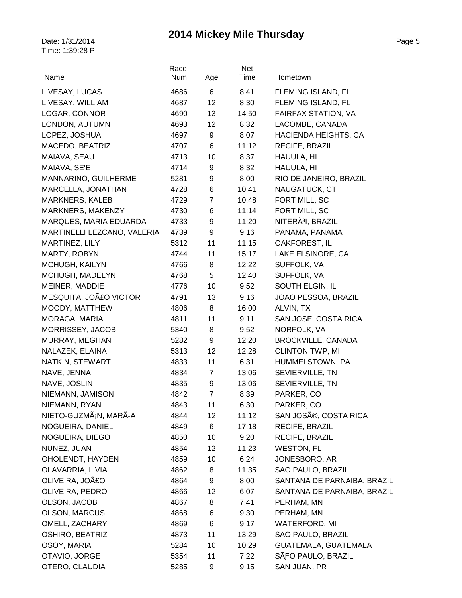| Name                        | Race<br>Num | Age            | Net<br>Time | Hometown                      |
|-----------------------------|-------------|----------------|-------------|-------------------------------|
| LIVESAY, LUCAS              | 4686        | $6\phantom{1}$ | 8:41        | FLEMING ISLAND, FL            |
| LIVESAY, WILLIAM            | 4687        | 12             | 8:30        | FLEMING ISLAND, FL            |
| LOGAR, CONNOR               | 4690        | 13             | 14:50       | FAIRFAX STATION, VA           |
| LONDON, AUTUMN              | 4693        | 12             | 8:32        | LACOMBE, CANADA               |
| LOPEZ, JOSHUA               | 4697        | 9              | 8:07        | HACIENDA HEIGHTS, CA          |
| MACEDO, BEATRIZ             | 4707        | 6              | 11:12       | RECIFE, BRAZIL                |
| MAIAVA, SEAU                | 4713        | 10             | 8:37        | HAUULA, HI                    |
| MAIAVA, SE'E                | 4714        | 9              | 8:32        | HAUULA, HI                    |
| MANNARINO, GUILHERME        | 5281        | 9              | 8:00        | RIO DE JANEIRO, BRAZIL        |
| MARCELLA, JONATHAN          | 4728        | $\,6$          | 10:41       | NAUGATUCK, CT                 |
| <b>MARKNERS, KALEB</b>      | 4729        | $\overline{7}$ | 10:48       | FORT MILL, SC                 |
| MARKNERS, MAKENZY           | 4730        | 6              | 11:14       | FORT MILL, SC                 |
| MARQUES, MARIA EDUARDA      | 4733        | 9              | 11:20       | NITERÃ <sup>3</sup> I, BRAZIL |
| MARTINELLI LEZCANO, VALERIA | 4739        | 9              | 9:16        | PANAMA, PANAMA                |
| MARTINEZ, LILY              | 5312        | 11             | 11:15       | OAKFOREST, IL                 |
| MARTY, ROBYN                | 4744        | 11             | 15:17       | LAKE ELSINORE, CA             |
| MCHUGH, KAILYN              | 4766        | 8              | 12:22       | SUFFOLK, VA                   |
| MCHUGH, MADELYN             | 4768        | 5              | 12:40       | SUFFOLK, VA                   |
| MEINER, MADDIE              | 4776        | 10             | 9:52        | SOUTH ELGIN, IL               |
| MESQUITA, JOãO VICTOR       | 4791        | 13             | 9:16        | JOAO PESSOA, BRAZIL           |
| MOODY, MATTHEW              | 4806        | 8              | 16:00       | ALVIN, TX                     |
| MORAGA, MARIA               | 4811        | 11             | 9:11        | SAN JOSE, COSTA RICA          |
| MORRISSEY, JACOB            | 5340        | 8              | 9:52        | NORFOLK, VA                   |
| MURRAY, MEGHAN              | 5282        | 9              | 12:20       | <b>BROCKVILLE, CANADA</b>     |
| NALAZEK, ELAINA             | 5313        | 12             | 12:28       | <b>CLINTON TWP, MI</b>        |
| NATKIN, STEWART             | 4833        | 11             | 6:31        | HUMMELSTOWN, PA               |
| NAVE, JENNA                 | 4834        | $\overline{7}$ | 13:06       | SEVIERVILLE, TN               |
| NAVE, JOSLIN                | 4835        | 9              | 13:06       | SEVIERVILLE, TN               |
| NIEMANN, JAMISON            | 4842        | $\overline{7}$ | 8:39        | PARKER, CO                    |
| NIEMANN, RYAN               | 4843        | 11             | 6:30        | PARKER, CO                    |
| NIETO-GUZMáN, MARÃ-A        | 4844        | 12             | 11:12       | SAN JOSé, COSTA RICA          |
| NOGUEIRA, DANIEL            | 4849        | 6              | 17:18       | RECIFE, BRAZIL                |
| NOGUEIRA, DIEGO             | 4850        | 10             | 9:20        | RECIFE, BRAZIL                |
| NUNEZ, JUAN                 | 4854        | 12             | 11:23       | <b>WESTON, FL</b>             |
| OHOLENDT, HAYDEN            | 4859        | 10             | 6:24        | JONESBORO, AR                 |
| OLAVARRIA, LIVIA            | 4862        | 8              | 11:35       | SAO PAULO, BRAZIL             |
| OLIVEIRA, JOãO              | 4864        | 9              | 8:00        | SANTANA DE PARNAIBA, BRAZIL   |
| OLIVEIRA, PEDRO             | 4866        | 12             | 6:07        | SANTANA DE PARNAIBA, BRAZIL   |
| OLSON, JACOB                | 4867        | 8              | 7:41        | PERHAM, MN                    |
| <b>OLSON, MARCUS</b>        | 4868        | 6              | 9:30        | PERHAM, MN                    |
| OMELL, ZACHARY              | 4869        | 6              | 9:17        | <b>WATERFORD, MI</b>          |
| <b>OSHIRO, BEATRIZ</b>      | 4873        | 11             | 13:29       | SAO PAULO, BRAZIL             |
| OSOY, MARIA                 | 5284        | 10             | 10:29       | GUATEMALA, GUATEMALA          |
| OTAVIO, JORGE               | 5354        | 11             | 7:22        | SÃFO PAULO, BRAZIL            |
| OTERO, CLAUDIA              | 5285        | 9              | 9:15        | SAN JUAN, PR                  |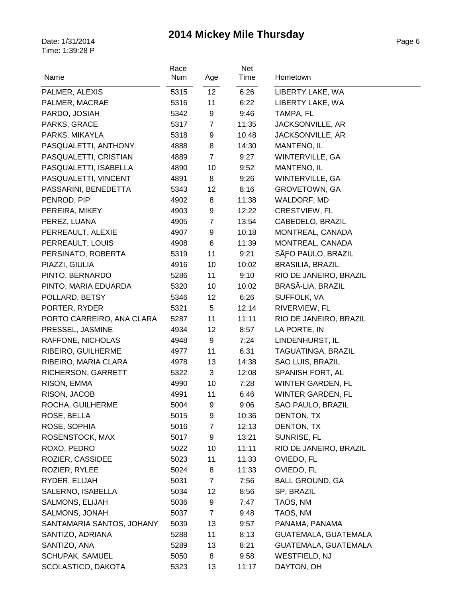| Name                      | Race<br><b>Num</b> | Age             | Net<br>Time | Hometown                 |
|---------------------------|--------------------|-----------------|-------------|--------------------------|
| PALMER, ALEXIS            | 5315               | 12 <sup>°</sup> | 6:26        | LIBERTY LAKE, WA         |
| PALMER, MACRAE            | 5316               | 11              | 6:22        | LIBERTY LAKE, WA         |
| PARDO, JOSIAH             | 5342               | 9               | 9:46        | TAMPA, FL                |
| PARKS, GRACE              | 5317               | $\overline{7}$  | 11:35       | JACKSONVILLE, AR         |
| PARKS, MIKAYLA            | 5318               | 9               | 10:48       | JACKSONVILLE, AR         |
| PASQUALETTI, ANTHONY      | 4888               | 8               | 14:30       | MANTENO, IL              |
| PASQUALETTI, CRISTIAN     | 4889               | $\overline{7}$  | 9:27        | WINTERVILLE, GA          |
| PASQUALETTI, ISABELLA     | 4890               | 10              | 9:52        | MANTENO, IL              |
| PASQUALETTI, VINCENT      | 4891               | 8               | 9:26        | WINTERVILLE, GA          |
| PASSARINI, BENEDETTA      | 5343               | 12              | 8:16        | <b>GROVETOWN, GA</b>     |
| PENROD, PIP               | 4902               | 8               | 11:38       | WALDORF, MD              |
| PEREIRA, MIKEY            | 4903               | 9               | 12:22       | <b>CRESTVIEW, FL</b>     |
| PEREZ, LUANA              | 4905               | $\overline{7}$  | 13:54       | CABEDELO, BRAZIL         |
| PERREAULT, ALEXIE         | 4907               | 9               | 10:18       | MONTREAL, CANADA         |
| PERREAULT, LOUIS          | 4908               | 6               | 11:39       | MONTREAL, CANADA         |
| PERSINATO, ROBERTA        | 5319               | 11              | 9:21        | SÃFO PAULO, BRAZIL       |
| PIAZZI, GIULIA            | 4916               | 10              | 10:02       | BRASILIA, BRAZIL         |
| PINTO, BERNARDO           | 5286               | 11              | 9:10        | RIO DE JANEIRO, BRAZIL   |
| PINTO, MARIA EDUARDA      | 5320               | 10              | 10:02       | BRASÃ-LIA, BRAZIL        |
| POLLARD, BETSY            | 5346               | 12              | 6:26        | SUFFOLK, VA              |
| PORTER, RYDER             | 5321               | 5               | 12:14       | RIVERVIEW, FL            |
| PORTO CARREIRO, ANA CLARA | 5287               | 11              | 11:11       | RIO DE JANEIRO, BRAZIL   |
| PRESSEL, JASMINE          | 4934               | 12              | 8:57        | LA PORTE, IN             |
| RAFFONE, NICHOLAS         | 4948               | 9               | 7:24        | LINDENHURST, IL          |
| RIBEIRO, GUILHERME        | 4977               | 11              | 6:31        | TAGUATINGA, BRAZIL       |
| RIBEIRO, MARIA CLARA      | 4978               | 13              | 14:38       | SAO LUIS, BRAZIL         |
| RICHERSON, GARRETT        | 5322               | 3               | 12:08       | SPANISH FORT, AL         |
| RISON, EMMA               | 4990               | 10              | 7:28        | <b>WINTER GARDEN, FL</b> |
| RISON, JACOB              | 4991               | 11              | 6:46        | WINTER GARDEN, FL        |
| ROCHA, GUILHERME          | 5004               | 9               | 9:06        | SAO PAULO, BRAZIL        |
| ROSE, BELLA               | 5015               | 9               | 10:36       | DENTON, TX               |
| ROSE, SOPHIA              | 5016               | 7               | 12:13       | DENTON, TX               |
| ROSENSTOCK, MAX           | 5017               | 9               | 13:21       | SUNRISE, FL              |
| ROXO, PEDRO               | 5022               | 10              | 11:11       | RIO DE JANEIRO, BRAZIL   |
| ROZIER, CASSIDEE          | 5023               | 11              | 11:33       | OVIEDO, FL               |
| ROZIER, RYLEE             | 5024               | 8               | 11:33       | OVIEDO, FL               |
| RYDER, ELIJAH             | 5031               | $\overline{7}$  | 7:56        | <b>BALL GROUND, GA</b>   |
| SALERNO, ISABELLA         | 5034               | 12              | 8:56        | SP, BRAZIL               |
| SALMONS, ELIJAH           | 5036               | 9               | 7:47        | TAOS, NM                 |
| SALMONS, JONAH            | 5037               | $\mathbf{7}$    | 9:48        | TAOS, NM                 |
| SANTAMARIA SANTOS, JOHANY | 5039               | 13              | 9:57        | PANAMA, PANAMA           |
| SANTIZO, ADRIANA          | 5288               | 11              | 8:13        | GUATEMALA, GUATEMALA     |
| SANTIZO, ANA              | 5289               | 13              | 8:21        | GUATEMALA, GUATEMALA     |
| SCHUPAK, SAMUEL           | 5050               | 8               | 9:58        | WESTFIELD, NJ            |
| SCOLASTICO, DAKOTA        | 5323               | 13              | 11:17       | DAYTON, OH               |